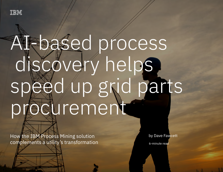

# Al-based process discovery helps speed up grid parts procurement

 $H$  is transformation complements a utility transformation complements a utility transformation  $H$ 

How the IBM Process Mining solution complements a utility's transformation

by Dave Fawcett

6-minute read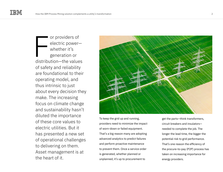or providers of electric power whether it's generation or distribution—the values of safety and reliability are foundational to their operating model, and thus intrinsic to just about every decision they make. The increasing focus on climate change and sustainability hasn't diluted the importance of these core values to electric utilities. But it has presented a new set of operational challenges to delivering on them. Asset management is at the heart of it.  $\begin{bmatrix} \phantom{-} \\ \phantom{-} \\ \phantom{-} \\ \phantom{-} \\ \phantom{-} \\ \phantom{-} \\ \end{bmatrix}$ 



To keep the grid up and running, providers need to minimize the impact of worn-down or failed equipment. That's a big reason many are adopting advanced analytics to predict failures and perform proactive maintenance to prevent them. Once a service order is generated, whether planned or unplanned, it's up to procurement to

get the parts—think transformers, circuit breakers and insulators needed to complete the job. The longer the lead time, the bigger the potential risk to grid performance. That's one reason the efficiency of the procure-to-pay (P2P) process has taken on increasing importance for energy providers.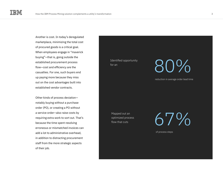Another is cost. In today's deregulated marketplace, minimizing the total cost of procured goods is a critical goal. When employees engage in "maverick buying"—that is, going outside the established procurement process flow—cost and efficiency are the casualties. For one, such buyers end up paying more because they miss out on the cost advantages built into established vendor contracts.

Other kinds of process deviation notably buying without a purchase order (PO), or creating a PO without a service order—also raise costs by requiring extra work to sort out. That's because the time spent resolving erroneous or mismatched invoices can add a lot to administrative overhead, in addition to distracting procurement staff from the more strategic aspects of their job.

Identified opportunity

### for an  $80\%$

reduction in average order lead time

Mapped out an optimized process flow that cuts

 $6'/\%$ 

of process steps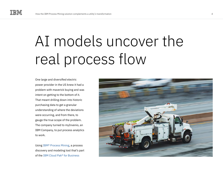### AI models uncover the real process flow

One large and diversified electric power provider in the US knew it had a problem with maverick buying and was intent on getting to the bottom of it. That meant drilling down into historic purchasing data to get a granular understanding of where the deviations were occurring, and from there, to gauge the true scope of the problem. The company turned to myInvenio, an IBM Company, to put process analytics to work.

Using [IBM® Process Mining,](https://www.ibm.com/cloud/cloud-pak-for-business-automation/process-mining) a process discovery and modeling tool that's part of the [IBM Cloud Pak® for Business](https://www.ibm.com/cloud/cloud-pak-for-business-automation) 

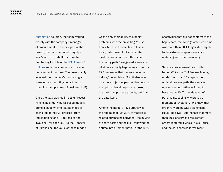[Automation](https://www.ibm.com/cloud/cloud-pak-for-business-automation) solution, the team worked closely with the company's manager of procurement. In the first part of the project, the team captured roughly a year's worth of data flows from the Purchasing Module of the [IBM Maximo®](https://www.ibm.com/products/maximo/energy-utilities)  [Utilities](https://www.ibm.com/products/maximo/energy-utilities) suite, the company's core asset management platform. The flows mainly involved the company's purchasing and warehouse accounting departments, spanning multiple lines of business (LoB).

Once the data was fed into IBM Process Mining, its underlying AI-based models broke it all down into telltale maps of each step of the P2P process—from requisitioning and PO to receipt and invoicing—for each LoB. To the Manager of Purchasing, the value of these models

wasn't only their ability to pinpoint problems with the prevailing "as-is" flows, but also their ability to take a fresh, data-driven look at what the ideal process could be, often called the happy path. "We gained a view into what was actually happening across our P2P processes that we truly never had before," he explains. "And it also gave us a more objective perspective on what the optimal baseline process looked like, not from process experts, but from the data itself."

Among the model's key outputs was the finding that just 20% of materialsrelated purchasing activities—the buying of spare parts and the like—followed the optimal procurement path. For the 80%

of activities that did not conform to the happy path, the average order lead time was more than 30% longer, due largely to the extra time spent on invoice matching and order reworking.

Services procurement fared little better. While the IBM Process Mining model found just 10 steps in the optimal process path, the average nonconforming path was found to have nearly 30. To the Manager of Purchasing, seeing why proved a moment of revelation. "We knew that order re-working was a significant issue," he says. "But the fact that more than 50% of service procurement orders required it was a true surprise, and the data showed it was real."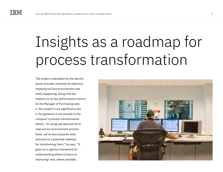## Insights as a roadmap for process transformation

The project undertaken by the electric power provider achieved its objective: mapping out how procurement was really happening, along with the impacts on its key performance metrics. As the Manager of Purchasing sees it, the project's true significance lies in the guidance it can provide to the company's process transformation efforts. "In using real data and AI to map out our procurement process flows, we've also acquired what amounts to a potential roadmap for transforming them," he says. "It gives us a rigorous framework for understanding where to focus on improving—and, where possible,

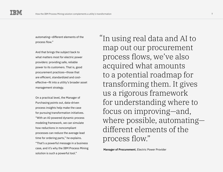automating—different elements of the process flow."

And that brings the subject back to what matters most for electric power providers: providing safe, reliable power to its customers. That is, good procurement practices—those that are efficient, standardized and costeffective—fit into a utility's broader asset management strategy.

On a practical level, the Manager of Purchasing points out, data-driven process insights help make the case for pursuing transformation initiatives. "With an AI-powered dynamic process modeling framework, we can simulate how reductions in noncompliant processes can reduce the average lead time for ordering parts," he explains. "That's a powerful message in a business case, and it's why the IBM Process Mining solution is such a powerful tool."

In using real data and AI to " map out our procurement process flows, we've also acquired what amounts to a potential roadmap for transforming them. It gives us a rigorous framework for understanding where to focus on improving—and, where possible, automating different elements of the process flow."

**Manager of Procurement**, Electric Power Provider